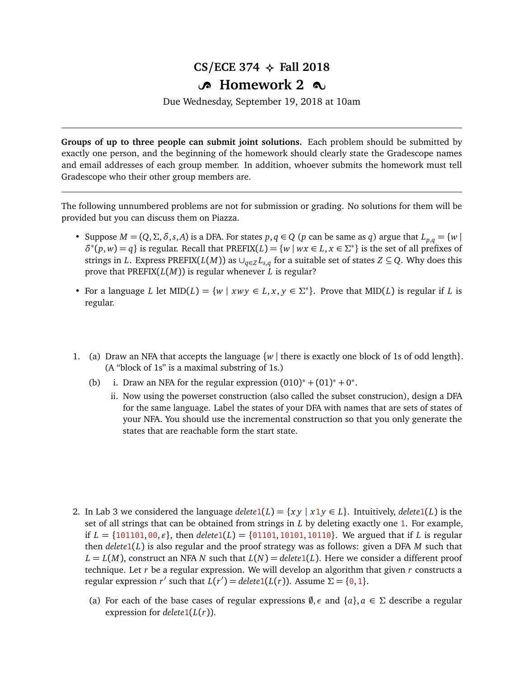## $CS/ECE$  374  $\leftrightarrow$  Fall 2018

## **B** Homework 2  $\infty$

Due Wednesday, September 19, 2018 at 10am

**Groups of up to three people can submit joint solutions.** Each problem should be submitted by exactly one person, and the beginning of the homework should clearly state the Gradescope names and email addresses of each group member. In addition, whoever submits the homework must tell Gradescope who their other group members are.

The following unnumbered problems are not for submission or grading. No solutions for them will be provided but you can discuss them on Piazza.

- Suppose  $M = (Q, \Sigma, \delta, s, A)$  is a DFA. For states  $p, q \in Q$  ( $p$  can be same as  $q$ ) argue that  $L_{p,q} = \{w \mid q \in Q\}$  $\delta^*(p, w) = q$  is regular. Recall that PREFIX(*L*) = {*w* | *wx* ∈ *L*, *x* ∈ *Σ*<sup>\*</sup>} is the set of all prefixes of strings in *L*. Express PREFIX(*L*(*M*)) as  $\cup_{q \in Z} L_{s,q}$  for a suitable set of states  $Z \subseteq Q$ . Why does this prove that PREFIX(*L*(*M*)) is regular whenever *L* is regular?
- For a language *L* let  $MID(L) = \{w \mid xwy \in L, x, y \in \Sigma^*\}$ . Prove that  $MID(L)$  is regular if *L* is regular.
- 1. (a) Draw an NFA that accepts the language  $\{w \mid \text{there is exactly one block of 1s of odd length}\}.$ (A "block of 1s" is a maximal substring of 1s.)
	- (b) i. Draw an NFA for the regular expression  $(010)^* + (01)^* + 0^*$ .
		- ii. Now using the powerset construction (also called the subset construcion), design a DFA for the same language. Label the states of your DFA with names that are sets of states of your NFA. You should use the incremental construction so that you only generate the states that are reachable form the start state.

- 2. In Lab 3 we considered the language *delete*1(*L*) =  $\{xy \mid x1y \in L\}$ . Intuitively, *delete*1(*L*) is the set of all strings that can be obtained from strings in *L* by deleting exactly one 1. For example, if  $L = \{101101, 00, \varepsilon\}$ , then  $delete1(L) = \{01101, 10101, 10110\}$ . We argued that if *L* is regular then *delete*1(*L*) is also regular and the proof strategy was as follows: given a DFA *M* such that  $L = L(M)$ , construct an NFA *N* such that  $L(N) =$  *delete*1(*L*). Here we consider a different proof technique. Let *r* be a regular expression. We will develop an algorithm that given *r* constructs a regular expression *r'* such that  $L(r') =$  *delete* 1( $L(r)$ ). Assume  $\Sigma = \{0, 1\}$ .
	- (a) For each of the base cases of regular expressions  $\emptyset$ ,  $\epsilon$  and  $\{a\}$ ,  $a \in \Sigma$  describe a regular expression for  $delete1(L(r))$ .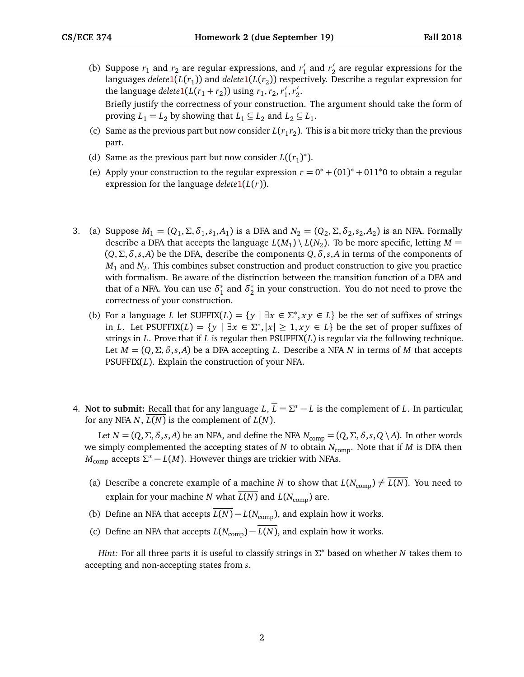- (b) Suppose  $r_1$  and  $r_2$  are regular expressions, and  $r'_1$  $r'_1$  and  $r'_2$  $\frac{7}{2}$  are regular expressions for the languages *delete*1(*L*(*r*<sub>1</sub>)) and *delete*1(*L*(*r<sub>2</sub>)) respectively. Describe a regular expression for* the language *delete*<sup>1</sup>( $L(r_1 + r_2)$ ) using  $r_1, r_2, r'_1$  $\frac{1}{1}$ ,  $r_2'$  $\frac{7}{2}$ Briefly justify the correctness of your construction. The argument should take the form of proving  $L_1 = L_2$  by showing that  $L_1 \subseteq L_2$  and  $L_2 \subseteq L_1$ .
- (c) Same as the previous part but now consider  $L(r_1r_2)$ . This is a bit more tricky than the previous part.
- (d) Same as the previous part but now consider  $L((r_1)^*)$ .
- (e) Apply your construction to the regular expression  $r = 0^* + (01)^* + 011^*0$  to obtain a regular expression for the language *delete*1(*L*(*r*)).
- 3. (a) Suppose  $M_1 = (Q_1, \Sigma, \delta_1, s_1, A_1)$  is a DFA and  $N_2 = (Q_2, \Sigma, \delta_2, s_2, A_2)$  is an NFA. Formally describe a DFA that accepts the language  $L(M_1) \setminus L(N_2)$ . To be more specific, letting  $M =$ (*Q*,*Σ*,*δ*,*s*,*A*) be the DFA, describe the components *Q*,*δ*,*s*,*A* in terms of the components of  $M_1$  and  $N_2$ . This combines subset construction and product construction to give you practice with formalism. Be aware of the distinction between the transition function of a DFA and that of a NFA. You can use  $\delta_1^*$  $^*_1$  and  $\delta^*_2$  $_2^*$  in your construction. You do not need to prove the correctness of your construction.
	- (b) For a language *L* let  $SUFFIX(L) = \{y \mid \exists x \in \Sigma^*, xy \in L\}$  be the set of suffixes of strings in *L*. Let PSUFFIX(*L*) = {*y* | ∃*x* ∈  $\Sigma^*$ , |*x*| ≥ 1, *xy* ∈ *L*} be the set of proper suffixes of strings in *L*. Prove that if *L* is regular then PSUFFIX(*L*) is regular via the following technique. Let  $M = (Q, \Sigma, \delta, s, A)$  be a DFA accepting *L*. Describe a NFA *N* in terms of *M* that accepts PSUFFIX(*L*). Explain the construction of your NFA.
- 4. **Not to submit:** Recall that for any language  $L, \overline{L} = \Sigma^* L$  is the complement of L. In particular, for any NFA  $N$ ,  $L(N)$  is the complement of  $L(N)$ .

Let  $N = (Q, \Sigma, \delta, s, A)$  be an NFA, and define the NFA  $N_{\text{comp}} = (Q, \Sigma, \delta, s, Q \setminus A)$ . In other words we simply complemented the accepting states of  $N$  to obtain  $N_{\text{comp}}$ . Note that if  $M$  is DFA then  $M_{\text{comp}}$  accepts  $\Sigma^* - L(M)$ . However things are trickier with NFAs.

- (a) Describe a concrete example of a machine *N* to show that  $L(N_{\text{comp}}) \neq \overline{L(N)}$ . You need to explain for your machine *N* what  $\overline{L(N)}$  and  $L(N_{comp})$  are.
- (b) Define an NFA that accepts  $\overline{L(N)} L(N_{\text{comp}})$ , and explain how it works.
- (c) Define an NFA that accepts  $L(N_{\text{comm}}) \overline{L(N)}$ , and explain how it works.

*Hint:* For all three parts it is useful to classify strings in *Σ* <sup>∗</sup> based on whether *N* takes them to accepting and non-accepting states from *s*.